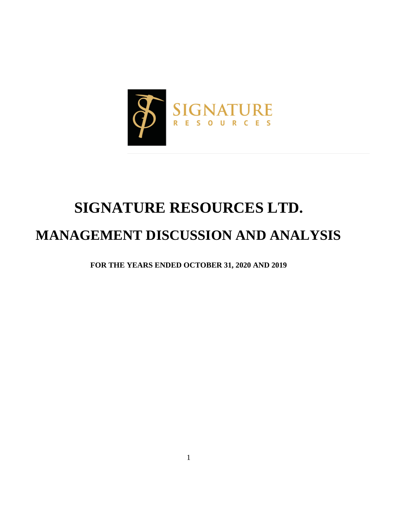

# **SIGNATURE RESOURCES LTD.**

## **MANAGEMENT DISCUSSION AND ANALYSIS**

**FOR THE YEARS ENDED OCTOBER 31, 2020 AND 2019**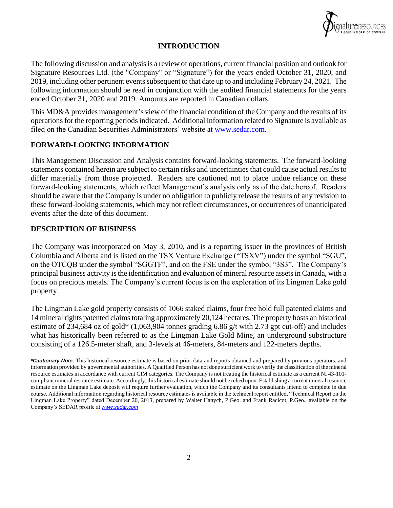

## **INTRODUCTION**

The following discussion and analysis is a review of operations, current financial position and outlook for Signature Resources Ltd. (the "Company" or "Signature") for the years ended October 31, 2020, and 2019, including other pertinent events subsequent to that date up to and including February 24, 2021. The following information should be read in conjunction with the audited financial statements for the years ended October 31, 2020 and 2019. Amounts are reported in Canadian dollars.

This MD&A provides management's view of the financial condition of the Company and the results of its operations for the reporting periods indicated. Additional information related to Signature is available as filed on the Canadian Securities Administrators' website at [www.sedar.com.](http://www.sedar.com/)

## **FORWARD-LOOKING INFORMATION**

This Management Discussion and Analysis contains forward-looking statements. The forward-looking statements contained herein are subject to certain risks and uncertainties that could cause actual results to differ materially from those projected. Readers are cautioned not to place undue reliance on these forward-looking statements, which reflect Management's analysis only as of the date hereof. Readers should be aware that the Company is under no obligation to publicly release the results of any revision to these forward-looking statements, which may not reflect circumstances, or occurrences of unanticipated events after the date of this document.

## **DESCRIPTION OF BUSINESS**

The Company was incorporated on May 3, 2010, and is a reporting issuer in the provinces of British Columbia and Alberta and is listed on the TSX Venture Exchange ("TSXV") under the symbol "SGU", on the OTCQB under the symbol "SGGTF", and on the FSE under the symbol "3S3". The Company's principal business activity is the identification and evaluation of mineral resource assets in Canada, with a focus on precious metals. The Company's current focus is on the exploration of its Lingman Lake gold property.

The Lingman Lake gold property consists of 1066 staked claims, four free hold full patented claims and 14 mineral rights patented claims totaling approximately 20,124 hectares. The property hosts an historical estimate of 234,684 oz of gold\* (1,063,904 tonnes grading 6.86 g/t with 2.73 gpt cut-off) and includes what has historically been referred to as the Lingman Lake Gold Mine, an underground substructure consisting of a 126.5-meter shaft, and 3-levels at 46-meters, 84-meters and 122-meters depths.

*<sup>\*</sup>Cautionary Note.* This historical resource estimate is based on prior data and reports obtained and prepared by previous operators, and information provided by governmental authorities. A Qualified Person has not done sufficient work to verify the classification of the mineral resource estimates in accordance with current CIM categories. The Company is not treating the historical estimate as a current NI 43-101 compliant mineral resource estimate. Accordingly, this historical estimate should not be relied upon. Establishing a current mineral resource estimate on the Lingman Lake deposit will require further evaluation, which the Company and its consultants intend to complete in due course. Additional information regarding historical resource estimates is available in the technical report entitled, "Technical Report on the Lingman Lake Property" dated December 20, 2013, prepared by Walter Hanych, P.Geo. and Frank Racicot, P.Geo., available on the Company's SEDAR profile at *[www.sedar.com](http://www.sedar.com/)*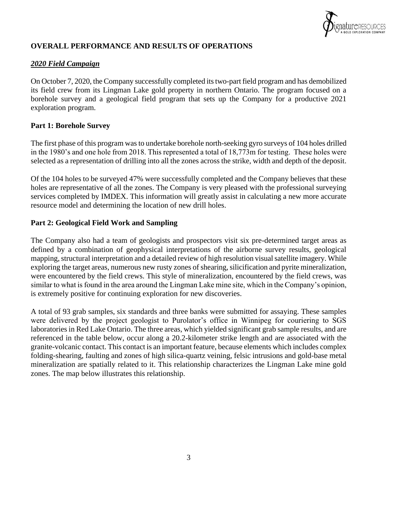

## **OVERALL PERFORMANCE AND RESULTS OF OPERATIONS**

## *2020 Field Campaign*

On October 7, 2020, the Company successfully completed its two-part field program and has demobilized its field crew from its Lingman Lake gold property in northern Ontario. The program focused on a borehole survey and a geological field program that sets up the Company for a productive 2021 exploration program.

#### **Part 1: Borehole Survey**

The first phase of this program was to undertake borehole north-seeking gyro surveys of 104 holes drilled in the 1980's and one hole from 2018. This represented a total of 18,773m for testing. These holes were selected as a representation of drilling into all the zones across the strike, width and depth of the deposit.

Of the 104 holes to be surveyed 47% were successfully completed and the Company believes that these holes are representative of all the zones. The Company is very pleased with the professional surveying services completed by IMDEX. This information will greatly assist in calculating a new more accurate resource model and determining the location of new drill holes.

#### **Part 2: Geological Field Work and Sampling**

The Company also had a team of geologists and prospectors visit six pre-determined target areas as defined by a combination of geophysical interpretations of the airborne survey results, geological mapping, structural interpretation and a detailed review of high resolution visual satellite imagery. While exploring the target areas, numerous new rusty zones of shearing, silicification and pyrite mineralization, were encountered by the field crews. This style of mineralization, encountered by the field crews, was similar to what is found in the area around the Lingman Lake mine site, which in the Company's opinion, is extremely positive for continuing exploration for new discoveries.

A total of 93 grab samples, six standards and three banks were submitted for assaying. These samples were delivered by the project geologist to Purolator's office in Winnipeg for couriering to SGS laboratories in Red Lake Ontario. The three areas, which yielded significant grab sample results, and are referenced in the table below, occur along a 20.2-kilometer strike length and are associated with the granite-volcanic contact. This contact is an important feature, because elements which includes complex folding-shearing, faulting and zones of high silica-quartz veining, felsic intrusions and gold-base metal mineralization are spatially related to it. This relationship characterizes the Lingman Lake mine gold zones. The map below illustrates this relationship.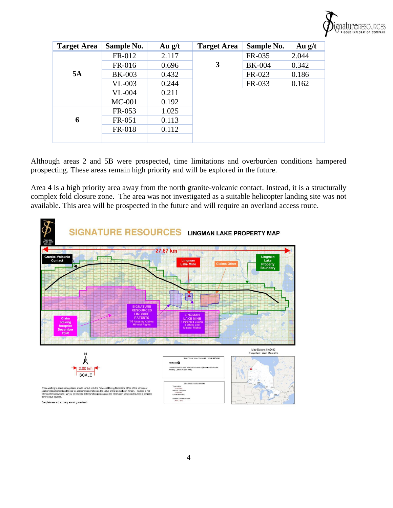

| <b>Target Area</b> | Sample No.    | Au $g/t$ | <b>Target Area</b> | Sample No.    | Au $g/t$ |
|--------------------|---------------|----------|--------------------|---------------|----------|
| 5A                 | FR-012        | 2.117    |                    | FR-035        | 2.044    |
|                    | FR-016        | 0.696    | 3                  | <b>BK-004</b> | 0.342    |
|                    | <b>BK-003</b> | 0.432    |                    | FR-023        | 0.186    |
|                    | $VL-003$      | 0.244    |                    | FR-033        | 0.162    |
|                    | <b>VL-004</b> | 0.211    |                    |               |          |
|                    | $MC-001$      | 0.192    |                    |               |          |
|                    | FR-053        | 1.025    |                    |               |          |
| 6                  | FR-051        | 0.113    |                    |               |          |
|                    | <b>FR-018</b> | 0.112    |                    |               |          |
|                    |               |          |                    |               |          |

Although areas 2 and 5B were prospected, time limitations and overburden conditions hampered prospecting. These areas remain high priority and will be explored in the future.

Area 4 is a high priority area away from the north granite-volcanic contact. Instead, it is a structurally complex fold closure zone. The area was not investigated as a suitable helicopter landing site was not available. This area will be prospected in the future and will require an overland access route.

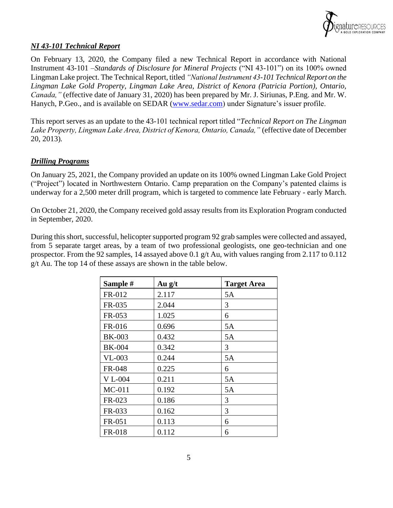

## *NI 43-101 Technical Report*

On February 13, 2020, the Company filed a new Technical Report in accordance with National Instrument 43-101 –*Standards of Disclosure for Mineral Projects* ("NI 43-101") on its 100% owned Lingman Lake project. The Technical Report, titled *"National Instrument 43-101 Technical Report on the Lingman Lake Gold Property, Lingman Lake Area, District of Kenora (Patricia Portion), Ontario, Canada,"* (effective date of January 31, 2020) has been prepared by Mr. J. Siriunas, P.Eng. and Mr. W. Hanych, P.Geo., and is available on SEDAR [\(www.sedar.com\)](http://www.sedar.com/) under Signature's issuer profile.

This report serves as an update to the 43-101 technical report titled "*Technical Report on The Lingman Lake Property, Lingman Lake Area, District of Kenora, Ontario, Canada,"* (effective date of December 20, 2013)*.* 

## *Drilling Programs*

On January 25, 2021, the Company provided an update on its 100% owned Lingman Lake Gold Project ("Project") located in Northwestern Ontario. Camp preparation on the Company's patented claims is underway for a 2,500 meter drill program, which is targeted to commence late February - early March.

On October 21, 2020, the Company received gold assay results from its Exploration Program conducted in September, 2020.

During this short, successful, helicopter supported program 92 grab samples were collected and assayed, from 5 separate target areas, by a team of two professional geologists, one geo-technician and one prospector. From the 92 samples, 14 assayed above 0.1 g/t Au, with values ranging from 2.117 to 0.112  $g/t$  Au. The top 14 of these assays are shown in the table below.

| Sample #       | Au $g/t$ | <b>Target Area</b> |
|----------------|----------|--------------------|
| FR-012         | 2.117    | 5A                 |
| FR-035         | 2.044    | 3                  |
| FR-053         | 1.025    | 6                  |
| FR-016         | 0.696    | 5A                 |
| <b>BK-003</b>  | 0.432    | 5A                 |
| <b>BK-004</b>  | 0.342    | 3                  |
| $VL-003$       | 0.244    | 5A                 |
| FR-048         | 0.225    | 6                  |
| <b>V</b> L-004 | 0.211    | 5A                 |
| $MC-011$       | 0.192    | 5A                 |
| FR-023         | 0.186    | 3                  |
| FR-033         | 0.162    | 3                  |
| FR-051         | 0.113    | 6                  |
| <b>FR-018</b>  | 0.112    | 6                  |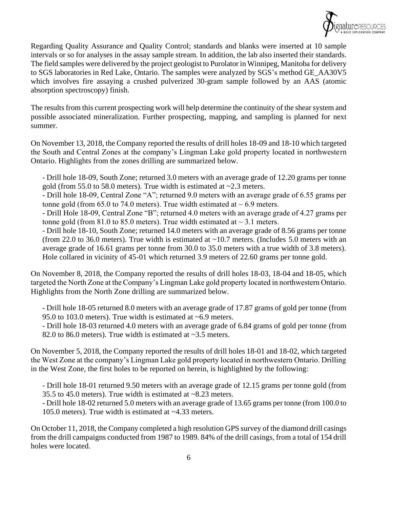

Regarding Quality Assurance and Quality Control; standards and blanks were inserted at 10 sample intervals or so for analyses in the assay sample stream. In addition, the lab also inserted their standards. The field samples were delivered by the project geologist to Purolator in Winnipeg, Manitoba for delivery to SGS laboratories in Red Lake, Ontario. The samples were analyzed by SGS's method GE\_AA30V5 which involves fire assaying a crushed pulverized 30-gram sample followed by an AAS (atomic absorption spectroscopy) finish.

The results from this current prospecting work will help determine the continuity of the shear system and possible associated mineralization. Further prospecting, mapping, and sampling is planned for next summer.

On November 13, 2018, the Company reported the results of drill holes 18-09 and 18-10 which targeted the South and Central Zones at the company's Lingman Lake gold property located in northwestern Ontario. Highlights from the zones drilling are summarized below.

- Drill hole 18-09, South Zone; returned 3.0 meters with an average grade of 12.20 grams per tonne gold (from 55.0 to 58.0 meters). True width is estimated at  $\sim$ 2.3 meters.

- Drill hole 18-09, Central Zone "A"; returned 9.0 meters with an average grade of 6.55 grams per tonne gold (from 65.0 to 74.0 meters). True width estimated at  $\sim$  6.9 meters.

- Drill Hole 18-09, Central Zone "B"; returned 4.0 meters with an average grade of 4.27 grams per tonne gold (from 81.0 to 85.0 meters). True width estimated at  $\sim$  3.1 meters.

- Drill hole 18-10, South Zone; returned 14.0 meters with an average grade of 8.56 grams per tonne (from 22.0 to 36.0 meters). True width is estimated at  $\sim$ 10.7 meters. (Includes 5.0 meters with an average grade of 16.61 grams per tonne from 30.0 to 35.0 meters with a true width of 3.8 meters). Hole collared in vicinity of 45-01 which returned 3.9 meters of 22.60 grams per tonne gold.

On November 8, 2018, the Company reported the results of drill holes 18-03, 18-04 and 18-05, which targeted the North Zone at the Company's Lingman Lake gold property located in northwestern Ontario. Highlights from the North Zone drilling are summarized below.

- Drill hole 18-05 returned 8.0 meters with an average grade of 17.87 grams of gold per tonne (from 95.0 to 103.0 meters). True width is estimated at ~6.9 meters.

- Drill hole 18-03 returned 4.0 meters with an average grade of 6.84 grams of gold per tonne (from 82.0 to 86.0 meters). True width is estimated at ~3.5 meters.

On November 5, 2018, the Company reported the results of drill holes 18-01 and 18-02, which targeted the West Zone at the company's Lingman Lake gold property located in northwestern Ontario. Drilling in the West Zone, the first holes to be reported on herein, is highlighted by the following:

- Drill hole 18-01 returned 9.50 meters with an average grade of 12.15 grams per tonne gold (from 35.5 to 45.0 meters). True width is estimated at ~8.23 meters.

- Drill hole 18-02 returned 5.0 meters with an average grade of 13.65 grams per tonne (from 100.0 to 105.0 meters). True width is estimated at ~4.33 meters.

On October 11, 2018, the Company completed a high resolution GPS survey of the diamond drill casings from the drill campaigns conducted from 1987 to 1989. 84% of the drill casings, from a total of 154 drill holes were located.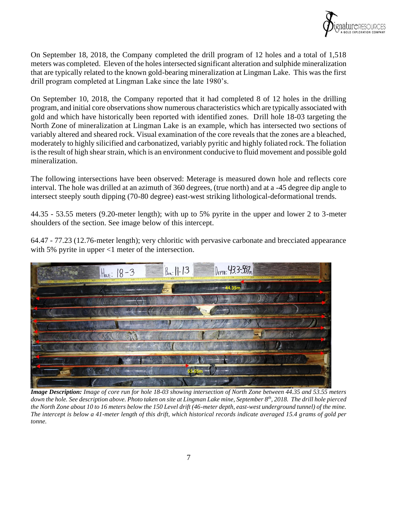

On September 18, 2018, the Company completed the drill program of 12 holes and a total of 1,518 meters was completed. Eleven of the holes intersected significant alteration and sulphide mineralization that are typically related to the known gold-bearing mineralization at Lingman Lake. This was the first drill program completed at Lingman Lake since the late 1980's.

On September 10, 2018, the Company reported that it had completed 8 of 12 holes in the drilling program, and initial core observations show numerous characteristics which are typically associated with gold and which have historically been reported with identified zones. Drill hole 18-03 targeting the North Zone of mineralization at Lingman Lake is an example, which has intersected two sections of variably altered and sheared rock. Visual examination of the core reveals that the zones are a bleached, moderately to highly silicified and carbonatized, variably pyritic and highly foliated rock. The foliation is the result of high shear strain, which is an environment conducive to fluid movement and possible gold mineralization.

The following intersections have been observed: Meterage is measured down hole and reflects core interval. The hole was drilled at an azimuth of 360 degrees, (true north) and at a -45 degree dip angle to intersect steeply south dipping (70-80 degree) east-west striking lithological-deformational trends.

44.35 - 53.55 meters (9.20-meter length); with up to 5% pyrite in the upper and lower 2 to 3-meter shoulders of the section. See image below of this intercept.

64.47 - 77.23 (12.76-meter length); very chloritic with pervasive carbonate and brecciated appearance with 5% pyrite in upper <1 meter of the intersection.



*Image Description: Image of core run for hole 18-03 showing intersection of North Zone between 44.35 and 53.55 meters down the hole. See description above. Photo taken on site at Lingman Lake mine, September 8th, 2018. The drill hole pierced the North Zone about 10 to 16 meters below the 150 Level drift (46-meter depth, east-west underground tunnel) of the mine. The intercept is below a 41-meter length of this drift, which historical records indicate averaged 15.4 grams of gold per tonne.*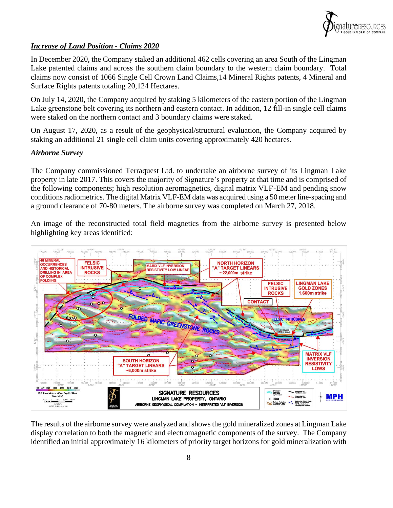

## *Increase of Land Position - Claims 2020*

In December 2020, the Company staked an additional 462 cells covering an area South of the Lingman Lake patented claims and across the southern claim boundary to the western claim boundary. Total claims now consist of 1066 Single Cell Crown Land Claims,14 Mineral Rights patents, 4 Mineral and Surface Rights patents totaling 20,124 Hectares.

On July 14, 2020, the Company acquired by staking 5 kilometers of the eastern portion of the Lingman Lake greenstone belt covering its northern and eastern contact. In addition, 12 fill-in single cell claims were staked on the northern contact and 3 boundary claims were staked.

On August 17, 2020, as a result of the geophysical/structural evaluation, the Company acquired by staking an additional 21 single cell claim units covering approximately 420 hectares.

#### *Airborne Survey*

The Company commissioned Terraquest Ltd. to undertake an airborne survey of its Lingman Lake property in late 2017. This covers the majority of Signature's property at that time and is comprised of the following components; high resolution aeromagnetics, digital matrix VLF-EM and pending snow conditions radiometrics. The digital Matrix VLF-EM data was acquired using a 50 meter line-spacing and a ground clearance of 70-80 meters. The airborne survey was completed on March 27, 2018.

An image of the reconstructed total field magnetics from the airborne survey is presented below highlighting key areas identified:



The results of the airborne survey were analyzed and shows the gold mineralized zones at Lingman Lake display correlation to both the magnetic and electromagnetic components of the survey. The Company identified an initial approximately 16 kilometers of priority target horizons for gold mineralization with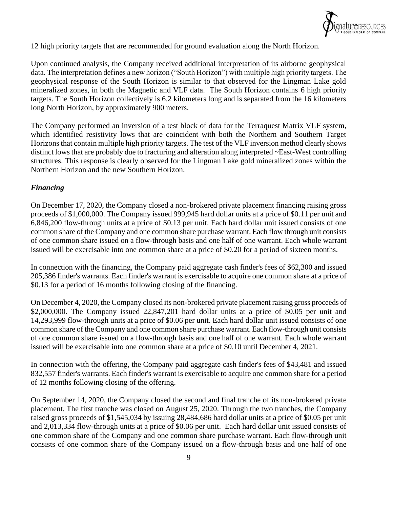

12 high priority targets that are recommended for ground evaluation along the North Horizon.

Upon continued analysis, the Company received additional interpretation of its airborne geophysical data. The interpretation defines a new horizon ("South Horizon") with multiple high priority targets. The geophysical response of the South Horizon is similar to that observed for the Lingman Lake gold mineralized zones, in both the Magnetic and VLF data. The South Horizon contains 6 high priority targets. The South Horizon collectively is 6.2 kilometers long and is separated from the 16 kilometers long North Horizon, by approximately 900 meters.

The Company performed an inversion of a test block of data for the Terraquest Matrix VLF system, which identified resistivity lows that are coincident with both the Northern and Southern Target Horizons that contain multiple high priority targets. The test of the VLF inversion method clearly shows distinct lows that are probably due to fracturing and alteration along interpreted ~East-West controlling structures. This response is clearly observed for the Lingman Lake gold mineralized zones within the Northern Horizon and the new Southern Horizon.

## *Financing*

On December 17, 2020, the Company closed a non-brokered private placement financing raising gross proceeds of \$1,000,000. The Company issued 999,945 hard dollar units at a price of \$0.11 per unit and 6,846,200 flow-through units at a price of \$0.13 per unit. Each hard dollar unit issued consists of one common share of the Company and one common share purchase warrant. Each flow through unit consists of one common share issued on a flow-through basis and one half of one warrant. Each whole warrant issued will be exercisable into one common share at a price of \$0.20 for a period of sixteen months.

In connection with the financing, the Company paid aggregate cash finder's fees of \$62,300 and issued 205,386 finder's warrants. Each finder's warrant is exercisable to acquire one common share at a price of \$0.13 for a period of 16 months following closing of the financing.

On December 4, 2020, the Company closed its non-brokered private placement raising gross proceeds of \$2,000,000. The Company issued 22,847,201 hard dollar units at a price of \$0.05 per unit and 14,293,999 flow-through units at a price of \$0.06 per unit. Each hard dollar unit issued consists of one common share of the Company and one common share purchase warrant. Each flow-through unit consists of one common share issued on a flow-through basis and one half of one warrant. Each whole warrant issued will be exercisable into one common share at a price of \$0.10 until December 4, 2021.

In connection with the offering, the Company paid aggregate cash finder's fees of \$43,481 and issued 832,557 finder's warrants. Each finder's warrant is exercisable to acquire one common share for a period of 12 months following closing of the offering.

On September 14, 2020, the Company closed the second and final tranche of its non-brokered private placement. The first tranche was closed on August 25, 2020. Through the two tranches, the Company raised gross proceeds of \$1,545,034 by issuing 28,484,686 hard dollar units at a price of \$0.05 per unit and 2,013,334 flow-through units at a price of \$0.06 per unit. Each hard dollar unit issued consists of one common share of the Company and one common share purchase warrant. Each flow-through unit consists of one common share of the Company issued on a flow-through basis and one half of one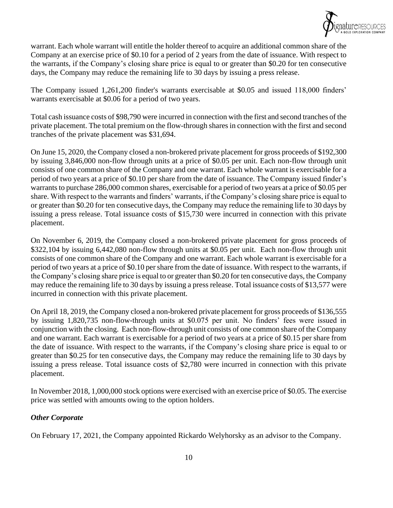

warrant. Each whole warrant will entitle the holder thereof to acquire an additional common share of the Company at an exercise price of \$0.10 for a period of 2 years from the date of issuance. With respect to the warrants, if the Company's closing share price is equal to or greater than \$0.20 for ten consecutive days, the Company may reduce the remaining life to 30 days by issuing a press release.

The Company issued 1,261,200 finder's warrants exercisable at \$0.05 and issued 118,000 finders' warrants exercisable at \$0.06 for a period of two years.

Total cash issuance costs of \$98,790 were incurred in connection with the first and second tranches of the private placement. The total premium on the flow-through shares in connection with the first and second tranches of the private placement was \$31,694.

On June 15, 2020, the Company closed a non-brokered private placement for gross proceeds of \$192,300 by issuing 3,846,000 non-flow through units at a price of \$0.05 per unit. Each non-flow through unit consists of one common share of the Company and one warrant. Each whole warrant is exercisable for a period of two years at a price of \$0.10 per share from the date of issuance. The Company issued finder's warrants to purchase 286,000 common shares, exercisable for a period of two years at a price of \$0.05 per share. With respect to the warrants and finders' warrants, if the Company's closing share price is equal to or greater than \$0.20 for ten consecutive days, the Company may reduce the remaining life to 30 days by issuing a press release. Total issuance costs of \$15,730 were incurred in connection with this private placement.

On November 6, 2019, the Company closed a non-brokered private placement for gross proceeds of \$322,104 by issuing 6,442,080 non-flow through units at \$0.05 per unit. Each non-flow through unit consists of one common share of the Company and one warrant. Each whole warrant is exercisable for a period of two years at a price of \$0.10 per share from the date of issuance. With respect to the warrants, if the Company's closing share price is equal to or greater than \$0.20 for ten consecutive days, the Company may reduce the remaining life to 30 days by issuing a press release. Total issuance costs of \$13,577 were incurred in connection with this private placement.

On April 18, 2019, the Company closed a non-brokered private placement for gross proceeds of \$136,555 by issuing 1,820,735 non-flow-through units at \$0.075 per unit. No finders' fees were issued in conjunction with the closing. Each non-flow-through unit consists of one common share of the Company and one warrant. Each warrant is exercisable for a period of two years at a price of \$0.15 per share from the date of issuance. With respect to the warrants, if the Company's closing share price is equal to or greater than \$0.25 for ten consecutive days, the Company may reduce the remaining life to 30 days by issuing a press release. Total issuance costs of \$2,780 were incurred in connection with this private placement.

In November 2018, 1,000,000 stock options were exercised with an exercise price of \$0.05. The exercise price was settled with amounts owing to the option holders.

## *Other Corporate*

On February 17, 2021, the Company appointed Rickardo Welyhorsky as an advisor to the Company.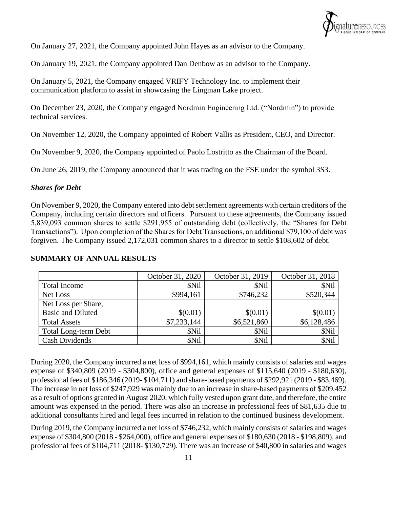

On January 27, 2021, the Company appointed John Hayes as an advisor to the Company.

On January 19, 2021, the Company appointed Dan Denbow as an advisor to the Company.

On January 5, 2021, the Company engaged VRIFY Technology Inc. to implement their communication platform to assist in showcasing the Lingman Lake project.

On December 23, 2020, the Company engaged Nordmin Engineering Ltd. ("Nordmin") to provide technical services.

On November 12, 2020, the Company appointed of Robert Vallis as President, CEO, and Director.

On November 9, 2020, the Company appointed of Paolo Lostritto as the Chairman of the Board.

On June 26, 2019, the Company announced that it was trading on the FSE under the symbol 3S3.

#### *Shares for Debt*

On November 9, 2020, the Company entered into debt settlement agreements with certain creditors of the Company, including certain directors and officers. Pursuant to these agreements, the Company issued 5,839,093 common shares to settle \$291,955 of outstanding debt (collectively, the "Shares for Debt Transactions"). Upon completion of the Shares for Debt Transactions, an additional \$79,100 of debt was forgiven. The Company issued 2,172,031 common shares to a director to settle \$108,602 of debt.

|                             | October 31, 2020 | October 31, 2019 | October 31, 2018 |
|-----------------------------|------------------|------------------|------------------|
| <b>Total Income</b>         | <b>SNil</b>      | \$Nil            | \$Nil            |
| Net Loss                    | \$994,161        | \$746,232        | \$520,344        |
| Net Loss per Share,         |                  |                  |                  |
| <b>Basic and Diluted</b>    | \$(0.01)         | \$(0.01)         | \$(0.01)         |
| <b>Total Assets</b>         | \$7,233,144      | \$6,521,860      | \$6,128,486      |
| <b>Total Long-term Debt</b> | \$Nil            | \$Nil            | \$Nil            |
| <b>Cash Dividends</b>       | \$Nil            | \$Nil            | \$Nil            |

#### **SUMMARY OF ANNUAL RESULTS**

During 2020, the Company incurred a net loss of \$994,161, which mainly consists of salaries and wages expense of \$340,809 (2019 - \$304,800), office and general expenses of \$115,640 (2019 - \$180,630), professional fees of \$186,346 (2019- \$104,711) and share-based payments of \$292,921 (2019 - \$83,469). The increase in net loss of \$247,929 was mainly due to an increase in share-based payments of \$209,452 as a result of options granted in August 2020, which fully vested upon grant date, and therefore, the entire amount was expensed in the period. There was also an increase in professional fees of \$81,635 due to additional consultants hired and legal fees incurred in relation to the continued business development.

During 2019, the Company incurred a net loss of \$746,232, which mainly consists of salaries and wages expense of \$304,800 (2018 - \$264,000), office and general expenses of \$180,630 (2018 - \$198,809), and professional fees of \$104,711 (2018- \$130,729). There was an increase of \$40,800 in salaries and wages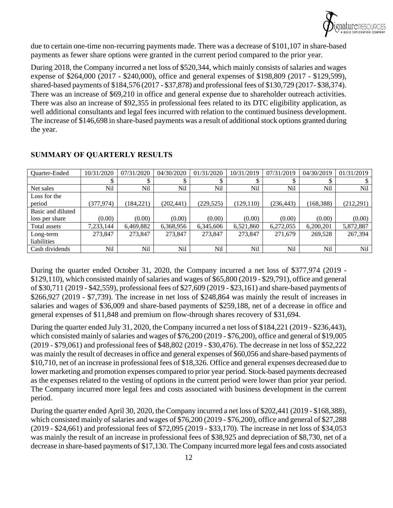

due to certain one-time non-recurring payments made. There was a decrease of \$101,107 in share-based payments as fewer share options were granted in the current period compared to the prior year.

During 2018, the Company incurred a net loss of \$520,344, which mainly consists of salaries and wages expense of \$264,000 (2017 - \$240,000), office and general expenses of \$198,809 (2017 - \$129,599), shared-based payments of \$184,576 (2017 - \$37,878) and professional fees of \$130,729 (2017- \$38,374). There was an increase of \$69,210 in office and general expense due to shareholder outreach activities. There was also an increase of \$92,355 in professional fees related to its DTC eligibility application, as well additional consultants and legal fees incurred with relation to the continued business development. The increase of \$146,698 in share-based payments was a result of additional stock options granted during the year.

| Quarter-Ended     | 10/31/2020 | 07/31/2020  | 04/30/2020 | 01/31/2020 | 10/31/2019 | 07/31/2019 | 04/30/2019 | 01/31/2019 |
|-------------------|------------|-------------|------------|------------|------------|------------|------------|------------|
|                   |            | $\triangle$ |            |            |            |            |            |            |
| Net sales         | Nil        | Nil         | Nil        | Nil        | Nil        | Nil        | Nil        | Nil        |
| Loss for the      |            |             |            |            |            |            |            |            |
| period            | (377, 974) | (184, 221)  | (202, 441) | (229, 525) | (129.110)  | (236, 443) | (168, 388) | (212, 291) |
| Basic and diluted |            |             |            |            |            |            |            |            |
| loss per share    | (0.00)     | (0.00)      | (0.00)     | (0.00)     | (0.00)     | (0.00)     | (0.00)     | (0.00)     |
| Total assets      | 7,233,144  | 6,469,882   | 6,368,956  | 6,345,606  | 6,521,860  | 6,272,055  | 6,200,201  | 5,872,887  |
| Long-term         | 273,847    | 273,847     | 273,847    | 273,847    | 273,847    | 271,679    | 269,528    | 267,394    |
| liabilities       |            |             |            |            |            |            |            |            |
| Cash dividends    | Nil        | Nil         | Nil        | Nil        | Nil        | Nil        | Nil        | Nil        |

## **SUMMARY OF QUARTERLY RESULTS**

During the quarter ended October 31, 2020, the Company incurred a net loss of \$377,974 (2019 - \$129,110), which consisted mainly of salaries and wages of \$65,800 (2019 - \$29,791), office and general of \$30,711 (2019 - \$42,559), professional fees of \$27,609 (2019 - \$23,161) and share-based payments of \$266,927 (2019 - \$7,739). The increase in net loss of \$248,864 was mainly the result of increases in salaries and wages of \$36,009 and share-based payments of \$259,188, net of a decrease in office and general expenses of \$11,848 and premium on flow-through shares recovery of \$31,694.

During the quarter ended July 31, 2020, the Company incurred a net loss of \$184,221 (2019 - \$236,443), which consisted mainly of salaries and wages of \$76,200 (2019 - \$76,200), office and general of \$19,005 (2019 - \$79,061) and professional fees of \$48,802 (2019 - \$30,476). The decrease in net loss of \$52,222 was mainly the result of decreases in office and general expenses of \$60,056 and share-based payments of \$10,710, net of an increase in professional fees of \$18,326. Office and general expenses decreased due to lower marketing and promotion expenses compared to prior year period. Stock-based payments decreased as the expenses related to the vesting of options in the current period were lower than prior year period. The Company incurred more legal fees and costs associated with business development in the current period.

During the quarter ended April 30, 2020, the Company incurred a net loss of \$202,441 (2019 - \$168,388), which consisted mainly of salaries and wages of \$76,200 (2019 - \$76,200), office and general of \$27,288 (2019 - \$24,661) and professional fees of \$72,095 (2019 - \$33,170). The increase in net loss of \$34,053 was mainly the result of an increase in professional fees of \$38,925 and depreciation of \$8,730, net of a decrease in share-based payments of \$17,130. The Company incurred more legal fees and costs associated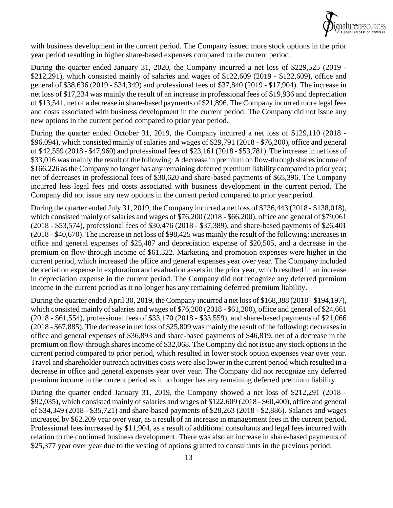

with business development in the current period. The Company issued more stock options in the prior year period resulting in higher share-based expenses compared to the current period.

During the quarter ended January 31, 2020, the Company incurred a net loss of \$229,525 (2019 - \$212,291), which consisted mainly of salaries and wages of \$122,609 (2019 - \$122,609), office and general of \$38,636 (2019 - \$34,349) and professional fees of \$37,840 (2019 - \$17,904). The increase in net loss of \$17,234 was mainly the result of an increase in professional fees of \$19,936 and depreciation of \$13,541, net of a decrease in share-based payments of \$21,896. The Company incurred more legal fees and costs associated with business development in the current period. The Company did not issue any new options in the current period compared to prior year period.

During the quarter ended October 31, 2019, the Company incurred a net loss of \$129,110 (2018 - \$96,094), which consisted mainly of salaries and wages of \$29,791 (2018 - \$76,200), office and general of \$42,559 (2018 - \$47,960) and professional fees of \$23,161 (2018 - \$53,781). The increase in net loss of \$33,016 was mainly the result of the following: A decrease in premium on flow-through shares income of \$166,226 as the Company no longer has any remaining deferred premium liability compared to prior year; net of decreases in professional fees of \$30,620 and share-based payments of \$65,396. The Company incurred less legal fees and costs associated with business development in the current period. The Company did not issue any new options in the current period compared to prior year period.

During the quarter ended July 31, 2019, the Company incurred a net loss of \$236,443 (2018 - \$138,018), which consisted mainly of salaries and wages of \$76,200 (2018 - \$66,200), office and general of \$79,061 (2018 - \$53,574), professional fees of \$30,476 (2018 - \$37,389), and share-based payments of \$26,401 (2018 - \$40,670). The increase in net loss of \$98,425 was mainly the result of the following: increases in office and general expenses of \$25,487 and depreciation expense of \$20,505, and a decrease in the premium on flow-through income of \$61,322. Marketing and promotion expenses were higher in the current period, which increased the office and general expenses year over year. The Company included depreciation expense in exploration and evaluation assets in the prior year, which resulted in an increase in depreciation expense in the current period. The Company did not recognize any deferred premium income in the current period as it no longer has any remaining deferred premium liability.

During the quarter ended April 30, 2019, the Company incurred a net loss of \$168,388 (2018 - \$194,197), which consisted mainly of salaries and wages of \$76,200 (2018 - \$61,200), office and general of \$24,661 (2018 - \$61,554), professional fees of \$33,170 (2018 - \$33,559), and share-based payments of \$21,066 (2018 - \$67,885). The decrease in net loss of \$25,809 was mainly the result of the following: decreases in office and general expenses of \$36,893 and share-based payments of \$46,819, net of a decrease in the premium on flow-through shares income of \$32,068. The Company did not issue any stock options in the current period compared to prior period, which resulted in lower stock option expenses year over year. Travel and shareholder outreach activities costs were also lower in the current period which resulted in a decrease in office and general expenses year over year. The Company did not recognize any deferred premium income in the current period as it no longer has any remaining deferred premium liability.

During the quarter ended January 31, 2019, the Company showed a net loss of \$212,291 (2018 - \$92,035), which consisted mainly of salaries and wages of \$122,609 (2018 - \$60,400), office and general of \$34,349 (2018 - \$35,721) and share-based payments of \$28,263 (2018 - \$2,886). Salaries and wages increased by \$62,209 year over year, as a result of an increase in management fees in the current period. Professional fees increased by \$11,904, as a result of additional consultants and legal fees incurred with relation to the continued business development. There was also an increase in share-based payments of \$25,377 year over year due to the vesting of options granted to consultants in the previous period.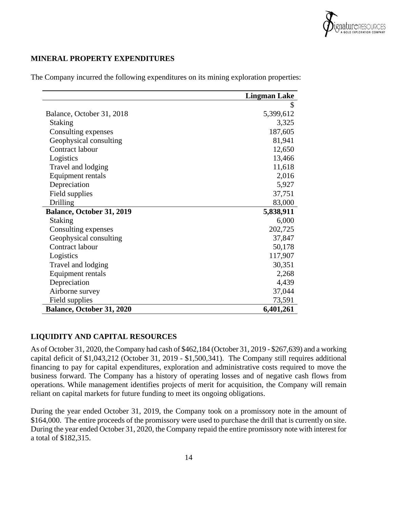

## **MINERAL PROPERTY EXPENDITURES**

|                           | <b>Lingman Lake</b> |
|---------------------------|---------------------|
|                           | \$                  |
| Balance, October 31, 2018 | 5,399,612           |
| <b>Staking</b>            | 3,325               |
| Consulting expenses       | 187,605             |
| Geophysical consulting    | 81,941              |
| Contract labour           | 12,650              |
| Logistics                 | 13,466              |
| Travel and lodging        | 11,618              |
| Equipment rentals         | 2,016               |
| Depreciation              | 5,927               |
| Field supplies            | 37,751              |
| <b>Drilling</b>           | 83,000              |
| Balance, October 31, 2019 | 5,838,911           |
| <b>Staking</b>            | 6,000               |
| Consulting expenses       | 202,725             |
| Geophysical consulting    | 37,847              |
| Contract labour           | 50,178              |
| Logistics                 | 117,907             |
| Travel and lodging        | 30,351              |
| Equipment rentals         | 2,268               |
| Depreciation              | 4,439               |
| Airborne survey           | 37,044              |
| Field supplies            | 73,591              |
| Balance, October 31, 2020 | 6,401,261           |

The Company incurred the following expenditures on its mining exploration properties:

## **LIQUIDITY AND CAPITAL RESOURCES**

As of October 31, 2020, the Company had cash of \$462,184 (October 31, 2019 - \$267,639) and a working capital deficit of \$1,043,212 (October 31, 2019 - \$1,500,341). The Company still requires additional financing to pay for capital expenditures, exploration and administrative costs required to move the business forward. The Company has a history of operating losses and of negative cash flows from operations. While management identifies projects of merit for acquisition, the Company will remain reliant on capital markets for future funding to meet its ongoing obligations.

During the year ended October 31, 2019, the Company took on a promissory note in the amount of \$164,000. The entire proceeds of the promissory were used to purchase the drill that is currently on site. During the year ended October 31, 2020, the Company repaid the entire promissory note with interest for a total of \$182,315.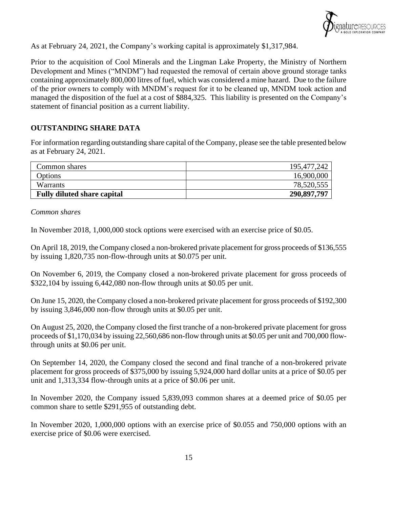

As at February 24, 2021, the Company's working capital is approximately \$1,317,984.

Prior to the acquisition of Cool Minerals and the Lingman Lake Property, the Ministry of Northern Development and Mines ("MNDM") had requested the removal of certain above ground storage tanks containing approximately 800,000 litres of fuel, which was considered a mine hazard. Due to the failure of the prior owners to comply with MNDM's request for it to be cleaned up, MNDM took action and managed the disposition of the fuel at a cost of \$884,325. This liability is presented on the Company's statement of financial position as a current liability.

## **OUTSTANDING SHARE DATA**

For information regarding outstanding share capital of the Company, please see the table presented below as at February 24, 2021.

| Common shares                      | 195,477,242 |
|------------------------------------|-------------|
| Options                            | 16,900,000  |
| Warrants                           | 78,520,555  |
| <b>Fully diluted share capital</b> | 290,897,797 |

*Common shares*

In November 2018, 1,000,000 stock options were exercised with an exercise price of \$0.05.

On April 18, 2019, the Company closed a non-brokered private placement for gross proceeds of \$136,555 by issuing 1,820,735 non-flow-through units at \$0.075 per unit.

On November 6, 2019, the Company closed a non-brokered private placement for gross proceeds of \$322,104 by issuing 6,442,080 non-flow through units at \$0.05 per unit.

On June 15, 2020, the Company closed a non-brokered private placement for gross proceeds of \$192,300 by issuing 3,846,000 non-flow through units at \$0.05 per unit.

On August 25, 2020, the Company closed the first tranche of a non-brokered private placement for gross proceeds of \$1,170,034 by issuing 22,560,686 non-flow through units at \$0.05 per unit and 700,000 flowthrough units at \$0.06 per unit.

On September 14, 2020, the Company closed the second and final tranche of a non-brokered private placement for gross proceeds of \$375,000 by issuing 5,924,000 hard dollar units at a price of \$0.05 per unit and 1,313,334 flow-through units at a price of \$0.06 per unit.

In November 2020, the Company issued 5,839,093 common shares at a deemed price of \$0.05 per common share to settle \$291,955 of outstanding debt.

In November 2020, 1,000,000 options with an exercise price of \$0.055 and 750,000 options with an exercise price of \$0.06 were exercised.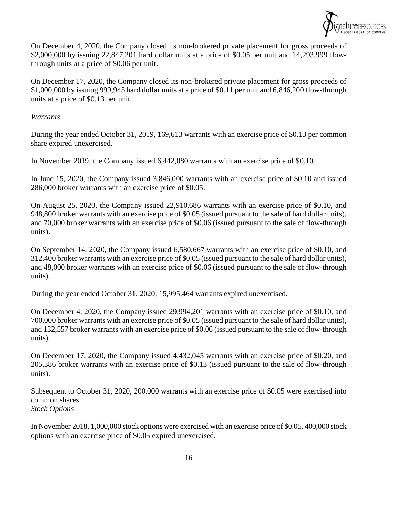

On December 4, 2020, the Company closed its non-brokered private placement for gross proceeds of \$2,000,000 by issuing 22,847,201 hard dollar units at a price of \$0.05 per unit and 14,293,999 flowthrough units at a price of \$0.06 per unit.

On December 17, 2020, the Company closed its non-brokered private placement for gross proceeds of \$1,000,000 by issuing 999,945 hard dollar units at a price of \$0.11 per unit and 6,846,200 flow-through units at a price of \$0.13 per unit.

## *Warrants*

During the year ended October 31, 2019, 169,613 warrants with an exercise price of \$0.13 per common share expired unexercised.

In November 2019, the Company issued 6,442,080 warrants with an exercise price of \$0.10.

In June 15, 2020, the Company issued 3,846,000 warrants with an exercise price of \$0.10 and issued 286,000 broker warrants with an exercise price of \$0.05.

On August 25, 2020, the Company issued 22,910,686 warrants with an exercise price of \$0.10, and 948,800 broker warrants with an exercise price of \$0.05 (issued pursuant to the sale of hard dollar units), and 70,000 broker warrants with an exercise price of \$0.06 (issued pursuant to the sale of flow-through units).

On September 14, 2020, the Company issued 6,580,667 warrants with an exercise price of \$0.10, and 312,400 broker warrants with an exercise price of \$0.05 (issued pursuant to the sale of hard dollar units), and 48,000 broker warrants with an exercise price of \$0.06 (issued pursuant to the sale of flow-through units).

During the year ended October 31, 2020, 15,995,464 warrants expired unexercised.

On December 4, 2020, the Company issued 29,994,201 warrants with an exercise price of \$0.10, and 700,000 broker warrants with an exercise price of \$0.05 (issued pursuant to the sale of hard dollar units), and 132,557 broker warrants with an exercise price of \$0.06 (issued pursuant to the sale of flow-through units).

On December 17, 2020, the Company issued 4,432,045 warrants with an exercise price of \$0.20, and 205,386 broker warrants with an exercise price of \$0.13 (issued pursuant to the sale of flow-through units).

Subsequent to October 31, 2020, 200,000 warrants with an exercise price of \$0.05 were exercised into common shares. *Stock Options*

In November 2018, 1,000,000 stock options were exercised with an exercise price of \$0.05. 400,000 stock options with an exercise price of \$0.05 expired unexercised.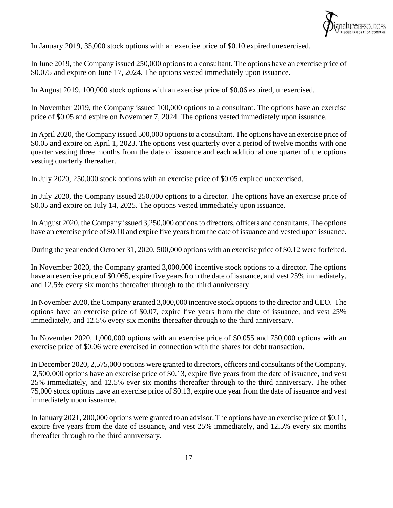

In January 2019, 35,000 stock options with an exercise price of \$0.10 expired unexercised.

In June 2019, the Company issued 250,000 options to a consultant. The options have an exercise price of \$0.075 and expire on June 17, 2024. The options vested immediately upon issuance.

In August 2019, 100,000 stock options with an exercise price of \$0.06 expired, unexercised.

In November 2019, the Company issued 100,000 options to a consultant. The options have an exercise price of \$0.05 and expire on November 7, 2024. The options vested immediately upon issuance.

In April 2020, the Company issued 500,000 options to a consultant. The options have an exercise price of \$0.05 and expire on April 1, 2023. The options vest quarterly over a period of twelve months with one quarter vesting three months from the date of issuance and each additional one quarter of the options vesting quarterly thereafter.

In July 2020, 250,000 stock options with an exercise price of \$0.05 expired unexercised.

In July 2020, the Company issued 250,000 options to a director. The options have an exercise price of \$0.05 and expire on July 14, 2025. The options vested immediately upon issuance.

In August 2020, the Company issued 3,250,000 options to directors, officers and consultants. The options have an exercise price of \$0.10 and expire five years from the date of issuance and vested upon issuance.

During the year ended October 31, 2020, 500,000 options with an exercise price of \$0.12 were forfeited.

In November 2020, the Company granted 3,000,000 incentive stock options to a director. The options have an exercise price of \$0.065, expire five years from the date of issuance, and vest 25% immediately, and 12.5% every six months thereafter through to the third anniversary.

In November 2020, the Company granted 3,000,000 incentive stock options to the director and CEO. The options have an exercise price of \$0.07, expire five years from the date of issuance, and vest 25% immediately, and 12.5% every six months thereafter through to the third anniversary.

In November 2020, 1,000,000 options with an exercise price of \$0.055 and 750,000 options with an exercise price of \$0.06 were exercised in connection with the shares for debt transaction.

In December 2020, 2,575,000 options were granted to directors, officers and consultants of the Company. 2,500,000 options have an exercise price of \$0.13, expire five years from the date of issuance, and vest 25% immediately, and 12.5% ever six months thereafter through to the third anniversary. The other 75,000 stock options have an exercise price of \$0.13, expire one year from the date of issuance and vest immediately upon issuance.

In January 2021, 200,000 options were granted to an advisor. The options have an exercise price of \$0.11, expire five years from the date of issuance, and vest 25% immediately, and 12.5% every six months thereafter through to the third anniversary.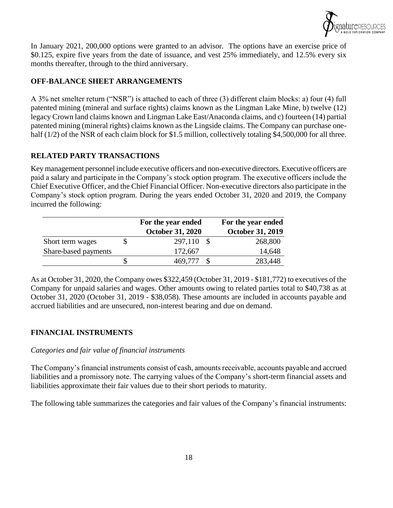

In January 2021, 200,000 options were granted to an advisor. The options have an exercise price of \$0.125, expire five years from the date of issuance, and vest 25% immediately, and 12.5% every six months thereafter, through to the third anniversary.

## **OFF-BALANCE SHEET ARRANGEMENTS**

A 3% net smelter return ("NSR") is attached to each of three (3) different claim blocks: a) four (4) full patented mining (mineral and surface rights) claims known as the Lingman Lake Mine, b) twelve (12) legacy Crown land claims known and Lingman Lake East/Anaconda claims, and c) fourteen (14) partial patented mining (mineral rights) claims known as the Lingside claims. The Company can purchase onehalf (1/2) of the NSR of each claim block for \$1.5 million, collectively totaling \$4,500,000 for all three.

## **RELATED PARTY TRANSACTIONS**

Key management personnel include executive officers and non-executive directors. Executive officers are paid a salary and participate in the Company's stock option program. The executive officers include the Chief Executive Officer, and the Chief Financial Officer. Non-executive directors also participate in the Company's stock option program. During the years ended October 31, 2020 and 2019, the Company incurred the following:

|                      | For the year ended      | For the year ended      |
|----------------------|-------------------------|-------------------------|
|                      | <b>October 31, 2020</b> | <b>October 31, 2019</b> |
| Short term wages     | 297,110                 | 268,800                 |
| Share-based payments | 172,667                 | 14,648                  |
|                      | 469,777                 | 283,448                 |

As at October 31, 2020, the Company owes \$322,459 (October 31, 2019 - \$181,772) to executives of the Company for unpaid salaries and wages. Other amounts owing to related parties total to \$40,738 as at October 31, 2020 (October 31, 2019 - \$38,058). These amounts are included in accounts payable and accrued liabilities and are unsecured, non-interest bearing and due on demand.

## **FINANCIAL INSTRUMENTS**

## *Categories and fair value of financial instruments*

The Company's financial instruments consist of cash, amounts receivable, accounts payable and accrued liabilities and a promissory note. The carrying values of the Company's short-term financial assets and liabilities approximate their fair values due to their short periods to maturity.

The following table summarizes the categories and fair values of the Company's financial instruments: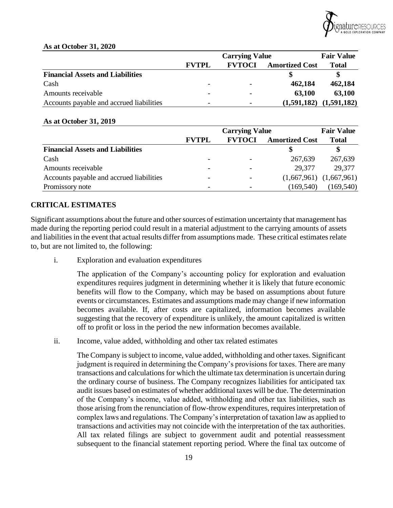

#### **As at October 31, 2020**

|                                          |                          | <b>Fair Value</b> |                       |             |
|------------------------------------------|--------------------------|-------------------|-----------------------|-------------|
|                                          | <b>FVTPL</b>             | <b>FVTOCI</b>     | <b>Amortized Cost</b> | Total       |
| <b>Financial Assets and Liabilities</b>  |                          |                   |                       |             |
| Cash                                     | $\overline{\phantom{0}}$ |                   | 462,184               | 462,184     |
| Amounts receivable                       | $\overline{\phantom{0}}$ |                   | 63.100                | 63,100      |
| Accounts payable and accrued liabilities | $\overline{\phantom{0}}$ |                   | (1,591,182)           | (1,591,182) |

#### **As at October 31, 2019**

|                                          | <b>Carrying Value</b> |                              |                       | <b>Fair Value</b>           |
|------------------------------------------|-----------------------|------------------------------|-----------------------|-----------------------------|
|                                          | <b>FVTPL</b>          | <b>FVTOCI</b>                | <b>Amortized Cost</b> | <b>Total</b>                |
| <b>Financial Assets and Liabilities</b>  |                       |                              |                       |                             |
| Cash                                     |                       |                              | 267,639               | 267,639                     |
| Amounts receivable                       |                       |                              | 29.377                | 29.377                      |
| Accounts payable and accrued liabilities |                       | $\qquad \qquad \blacksquare$ |                       | $(1,667,961)$ $(1,667,961)$ |
| Promissory note                          |                       |                              | (169, 540)            | (169, 540)                  |

## **CRITICAL ESTIMATES**

Significant assumptions about the future and other sources of estimation uncertainty that management has made during the reporting period could result in a material adjustment to the carrying amounts of assets and liabilities in the event that actual results differ from assumptions made. These critical estimates relate to, but are not limited to, the following:

i. Exploration and evaluation expenditures

The application of the Company's accounting policy for exploration and evaluation expenditures requires judgment in determining whether it is likely that future economic benefits will flow to the Company, which may be based on assumptions about future events or circumstances. Estimates and assumptions made may change if new information becomes available. If, after costs are capitalized, information becomes available suggesting that the recovery of expenditure is unlikely, the amount capitalized is written off to profit or loss in the period the new information becomes available.

ii. Income, value added, withholding and other tax related estimates

The Company is subject to income, value added, withholding and other taxes. Significant judgment is required in determining the Company's provisions for taxes. There are many transactions and calculations for which the ultimate tax determination is uncertain during the ordinary course of business. The Company recognizes liabilities for anticipated tax audit issues based on estimates of whether additional taxes will be due. The determination of the Company's income, value added, withholding and other tax liabilities, such as those arising from the renunciation of flow-throw expenditures, requires interpretation of complex laws and regulations. The Company's interpretation of taxation law as applied to transactions and activities may not coincide with the interpretation of the tax authorities. All tax related filings are subject to government audit and potential reassessment subsequent to the financial statement reporting period. Where the final tax outcome of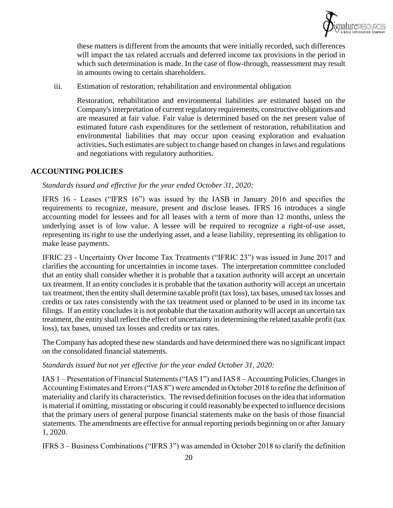

these matters is different from the amounts that were initially recorded, such differences will impact the tax related accruals and deferred income tax provisions in the period in which such determination is made. In the case of flow-through, reassessment may result in amounts owing to certain shareholders.

iii. Estimation of restoration, rehabilitation and environmental obligation

Restoration, rehabilitation and environmental liabilities are estimated based on the Company's interpretation of current regulatory requirements, constructive obligations and are measured at fair value. Fair value is determined based on the net present value of estimated future cash expenditures for the settlement of restoration, rehabilitation and environmental liabilities that may occur upon ceasing exploration and evaluation activities. Such estimates are subject to change based on changes in laws and regulations and negotiations with regulatory authorities.

## **ACCOUNTING POLICIES**

#### *Standards issued and effective for the year ended October 31, 2020:*

IFRS 16 - Leases ("IFRS 16") was issued by the IASB in January 2016 and specifies the requirements to recognize, measure, present and disclose leases. IFRS 16 introduces a single accounting model for lessees and for all leases with a term of more than 12 months, unless the underlying asset is of low value. A lessee will be required to recognize a right-of-use asset, representing its right to use the underlying asset, and a lease liability, representing its obligation to make lease payments.

IFRIC 23 - Uncertainty Over Income Tax Treatments ("IFRIC 23") was issued in June 2017 and clarifies the accounting for uncertainties in income taxes. The interpretation committee concluded that an entity shall consider whether it is probable that a taxation authority will accept an uncertain tax treatment. If an entity concludes it is probable that the taxation authority will accept an uncertain tax treatment, then the entity shall determine taxable profit (tax loss), tax bases, unused tax losses and credits or tax rates consistently with the tax treatment used or planned to be used in its income tax filings. If an entity concludes it is not probable that the taxation authority will accept an uncertain tax treatment, the entity shall reflect the effect of uncertainty in determining the related taxable profit (tax loss), tax bases, unused tax losses and credits or tax rates.

The Company has adopted these new standards and have determined there was no significant impact on the consolidated financial statements.

#### *Standards issued but not yet effective for the year ended October 31, 2020:*

IAS 1 – Presentation of Financial Statements ("IAS 1") and IAS 8 – Accounting Policies, Changes in Accounting Estimates and Errors ("IAS 8") were amended in October 2018 to refine the definition of materiality and clarify its characteristics. The revised definition focuses on the idea that information is material if omitting, misstating or obscuring it could reasonably be expected to influence decisions that the primary users of general purpose financial statements make on the basis of those financial statements. The amendments are effective for annual reporting periods beginning on or after January 1, 2020.

IFRS 3 – Business Combinations ("IFRS 3") was amended in October 2018 to clarify the definition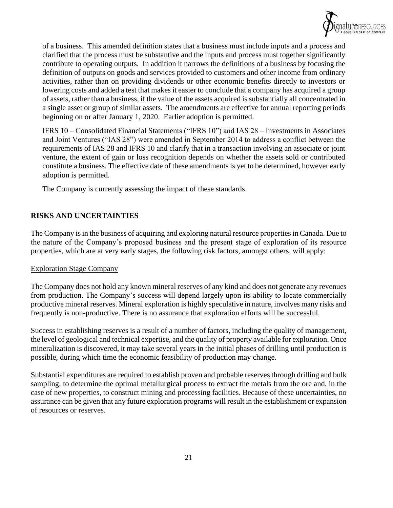

of a business. This amended definition states that a business must include inputs and a process and clarified that the process must be substantive and the inputs and process must together significantly contribute to operating outputs. In addition it narrows the definitions of a business by focusing the definition of outputs on goods and services provided to customers and other income from ordinary activities, rather than on providing dividends or other economic benefits directly to investors or lowering costs and added a test that makes it easier to conclude that a company has acquired a group of assets, rather than a business, if the value of the assets acquired is substantially all concentrated in a single asset or group of similar assets. The amendments are effective for annual reporting periods beginning on or after January 1, 2020. Earlier adoption is permitted.

IFRS 10 – Consolidated Financial Statements ("IFRS 10") and IAS 28 – Investments in Associates and Joint Ventures ("IAS 28") were amended in September 2014 to address a conflict between the requirements of IAS 28 and IFRS 10 and clarify that in a transaction involving an associate or joint venture, the extent of gain or loss recognition depends on whether the assets sold or contributed constitute a business. The effective date of these amendments is yet to be determined, however early adoption is permitted.

The Company is currently assessing the impact of these standards.

## **RISKS AND UNCERTAINTIES**

The Company is in the business of acquiring and exploring natural resource properties in Canada. Due to the nature of the Company's proposed business and the present stage of exploration of its resource properties, which are at very early stages, the following risk factors, amongst others, will apply:

## Exploration Stage Company

The Company does not hold any known mineral reserves of any kind and does not generate any revenues from production. The Company's success will depend largely upon its ability to locate commercially productive mineral reserves. Mineral exploration is highly speculative in nature, involves many risks and frequently is non-productive. There is no assurance that exploration efforts will be successful.

Success in establishing reserves is a result of a number of factors, including the quality of management, the level of geological and technical expertise, and the quality of property available for exploration. Once mineralization is discovered, it may take several years in the initial phases of drilling until production is possible, during which time the economic feasibility of production may change.

Substantial expenditures are required to establish proven and probable reserves through drilling and bulk sampling, to determine the optimal metallurgical process to extract the metals from the ore and, in the case of new properties, to construct mining and processing facilities. Because of these uncertainties, no assurance can be given that any future exploration programs will result in the establishment or expansion of resources or reserves.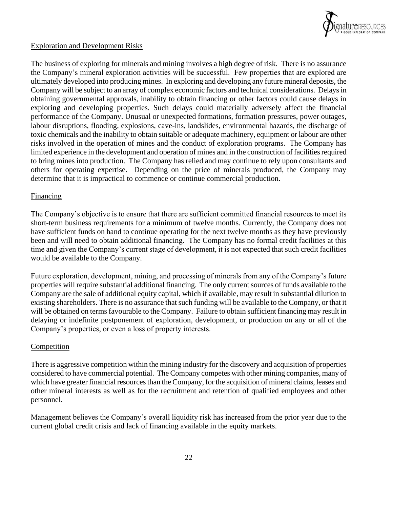

## Exploration and Development Risks

The business of exploring for minerals and mining involves a high degree of risk. There is no assurance the Company's mineral exploration activities will be successful. Few properties that are explored are ultimately developed into producing mines. In exploring and developing any future mineral deposits, the Company will be subject to an array of complex economic factors and technical considerations. Delays in obtaining governmental approvals, inability to obtain financing or other factors could cause delays in exploring and developing properties. Such delays could materially adversely affect the financial performance of the Company. Unusual or unexpected formations, formation pressures, power outages, labour disruptions, flooding, explosions, cave-ins, landslides, environmental hazards, the discharge of toxic chemicals and the inability to obtain suitable or adequate machinery, equipment or labour are other risks involved in the operation of mines and the conduct of exploration programs. The Company has limited experience in the development and operation of mines and in the construction of facilities required to bring mines into production. The Company has relied and may continue to rely upon consultants and others for operating expertise. Depending on the price of minerals produced, the Company may determine that it is impractical to commence or continue commercial production.

#### Financing

The Company's objective is to ensure that there are sufficient committed financial resources to meet its short-term business requirements for a minimum of twelve months. Currently, the Company does not have sufficient funds on hand to continue operating for the next twelve months as they have previously been and will need to obtain additional financing. The Company has no formal credit facilities at this time and given the Company's current stage of development, it is not expected that such credit facilities would be available to the Company.

Future exploration, development, mining, and processing of minerals from any of the Company's future properties will require substantial additional financing. The only current sources of funds available to the Company are the sale of additional equity capital, which if available, may result in substantial dilution to existing shareholders. There is no assurance that such funding will be available to the Company, or that it will be obtained on terms favourable to the Company. Failure to obtain sufficient financing may result in delaying or indefinite postponement of exploration, development, or production on any or all of the Company's properties, or even a loss of property interests.

## Competition

There is aggressive competition within the mining industry for the discovery and acquisition of properties considered to have commercial potential. The Company competes with other mining companies, many of which have greater financial resources than the Company, for the acquisition of mineral claims, leases and other mineral interests as well as for the recruitment and retention of qualified employees and other personnel.

Management believes the Company's overall liquidity risk has increased from the prior year due to the current global credit crisis and lack of financing available in the equity markets.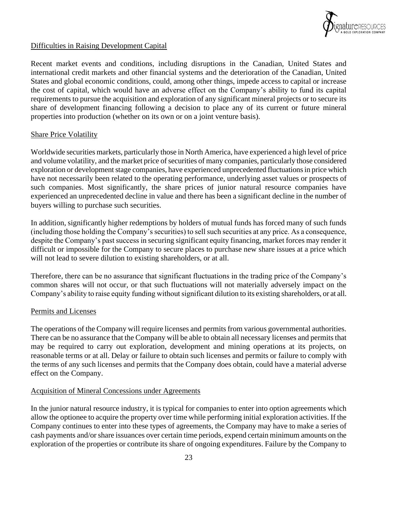

## Difficulties in Raising Development Capital

Recent market events and conditions, including disruptions in the Canadian, United States and international credit markets and other financial systems and the deterioration of the Canadian, United States and global economic conditions, could, among other things, impede access to capital or increase the cost of capital, which would have an adverse effect on the Company's ability to fund its capital requirements to pursue the acquisition and exploration of any significant mineral projects or to secure its share of development financing following a decision to place any of its current or future mineral properties into production (whether on its own or on a joint venture basis).

## Share Price Volatility

Worldwide securities markets, particularly those in North America, have experienced a high level of price and volume volatility, and the market price of securities of many companies, particularly those considered exploration or development stage companies, have experienced unprecedented fluctuations in price which have not necessarily been related to the operating performance, underlying asset values or prospects of such companies. Most significantly, the share prices of junior natural resource companies have experienced an unprecedented decline in value and there has been a significant decline in the number of buyers willing to purchase such securities.

In addition, significantly higher redemptions by holders of mutual funds has forced many of such funds (including those holding the Company's securities) to sell such securities at any price. As a consequence, despite the Company's past success in securing significant equity financing, market forces may render it difficult or impossible for the Company to secure places to purchase new share issues at a price which will not lead to severe dilution to existing shareholders, or at all.

Therefore, there can be no assurance that significant fluctuations in the trading price of the Company's common shares will not occur, or that such fluctuations will not materially adversely impact on the Company's ability to raise equity funding without significant dilution to its existing shareholders, or at all.

## Permits and Licenses

The operations of the Company will require licenses and permits from various governmental authorities. There can be no assurance that the Company will be able to obtain all necessary licenses and permits that may be required to carry out exploration, development and mining operations at its projects, on reasonable terms or at all. Delay or failure to obtain such licenses and permits or failure to comply with the terms of any such licenses and permits that the Company does obtain, could have a material adverse effect on the Company.

## Acquisition of Mineral Concessions under Agreements

In the junior natural resource industry, it is typical for companies to enter into option agreements which allow the optionee to acquire the property over time while performing initial exploration activities. If the Company continues to enter into these types of agreements, the Company may have to make a series of cash payments and/or share issuances over certain time periods, expend certain minimum amounts on the exploration of the properties or contribute its share of ongoing expenditures. Failure by the Company to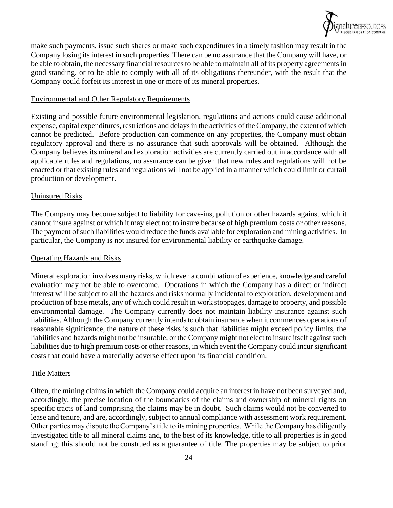

make such payments, issue such shares or make such expenditures in a timely fashion may result in the Company losing its interest in such properties. There can be no assurance that the Company will have, or be able to obtain, the necessary financial resources to be able to maintain all of its property agreements in good standing, or to be able to comply with all of its obligations thereunder, with the result that the Company could forfeit its interest in one or more of its mineral properties.

#### Environmental and Other Regulatory Requirements

Existing and possible future environmental legislation, regulations and actions could cause additional expense, capital expenditures, restrictions and delays in the activities of the Company, the extent of which cannot be predicted. Before production can commence on any properties, the Company must obtain regulatory approval and there is no assurance that such approvals will be obtained. Although the Company believes its mineral and exploration activities are currently carried out in accordance with all applicable rules and regulations, no assurance can be given that new rules and regulations will not be enacted or that existing rules and regulations will not be applied in a manner which could limit or curtail production or development.

#### Uninsured Risks

The Company may become subject to liability for cave-ins, pollution or other hazards against which it cannot insure against or which it may elect not to insure because of high premium costs or other reasons. The payment of such liabilities would reduce the funds available for exploration and mining activities. In particular, the Company is not insured for environmental liability or earthquake damage.

#### Operating Hazards and Risks

Mineral exploration involves many risks, which even a combination of experience, knowledge and careful evaluation may not be able to overcome. Operations in which the Company has a direct or indirect interest will be subject to all the hazards and risks normally incidental to exploration, development and production of base metals, any of which could result in work stoppages, damage to property, and possible environmental damage. The Company currently does not maintain liability insurance against such liabilities. Although the Company currently intends to obtain insurance when it commences operations of reasonable significance, the nature of these risks is such that liabilities might exceed policy limits, the liabilities and hazards might not be insurable, or the Company might not elect to insure itself against such liabilities due to high premium costs or other reasons, in which event the Company could incur significant costs that could have a materially adverse effect upon its financial condition.

#### Title Matters

Often, the mining claims in which the Company could acquire an interest in have not been surveyed and, accordingly, the precise location of the boundaries of the claims and ownership of mineral rights on specific tracts of land comprising the claims may be in doubt. Such claims would not be converted to lease and tenure, and are, accordingly, subject to annual compliance with assessment work requirement. Other parties may dispute the Company's title to its mining properties. While the Company has diligently investigated title to all mineral claims and, to the best of its knowledge, title to all properties is in good standing; this should not be construed as a guarantee of title. The properties may be subject to prior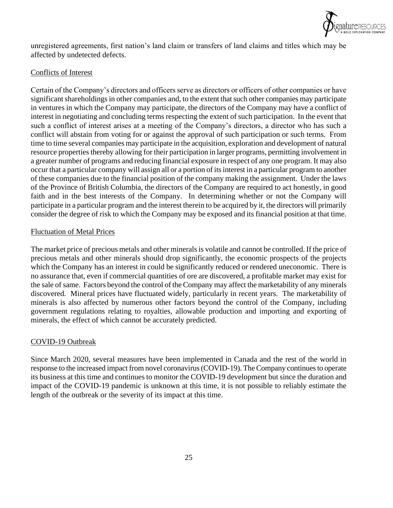

unregistered agreements, first nation's land claim or transfers of land claims and titles which may be affected by undetected defects.

## Conflicts of Interest

Certain of the Company's directors and officers serve as directors or officers of other companies or have significant shareholdings in other companies and, to the extent that such other companies may participate in ventures in which the Company may participate, the directors of the Company may have a conflict of interest in negotiating and concluding terms respecting the extent of such participation. In the event that such a conflict of interest arises at a meeting of the Company's directors, a director who has such a conflict will abstain from voting for or against the approval of such participation or such terms. From time to time several companies may participate in the acquisition, exploration and development of natural resource properties thereby allowing for their participation in larger programs, permitting involvement in a greater number of programs and reducing financial exposure in respect of any one program. It may also occur that a particular company will assign all or a portion of its interest in a particular program to another of these companies due to the financial position of the company making the assignment. Under the laws of the Province of British Columbia, the directors of the Company are required to act honestly, in good faith and in the best interests of the Company. In determining whether or not the Company will participate in a particular program and the interest therein to be acquired by it, the directors will primarily consider the degree of risk to which the Company may be exposed and its financial position at that time.

## Fluctuation of Metal Prices

The market price of precious metals and other minerals is volatile and cannot be controlled. If the price of precious metals and other minerals should drop significantly, the economic prospects of the projects which the Company has an interest in could be significantly reduced or rendered uneconomic. There is no assurance that, even if commercial quantities of ore are discovered, a profitable market may exist for the sale of same. Factors beyond the control of the Company may affect the marketability of any minerals discovered. Mineral prices have fluctuated widely, particularly in recent years. The marketability of minerals is also affected by numerous other factors beyond the control of the Company, including government regulations relating to royalties, allowable production and importing and exporting of minerals, the effect of which cannot be accurately predicted.

## COVID-19 Outbreak

Since March 2020, several measures have been implemented in Canada and the rest of the world in response to the increased impact from novel coronavirus (COVID-19). The Company continues to operate its business at this time and continues to monitor the COVID-19 development but since the duration and impact of the COVID-19 pandemic is unknown at this time, it is not possible to reliably estimate the length of the outbreak or the severity of its impact at this time.